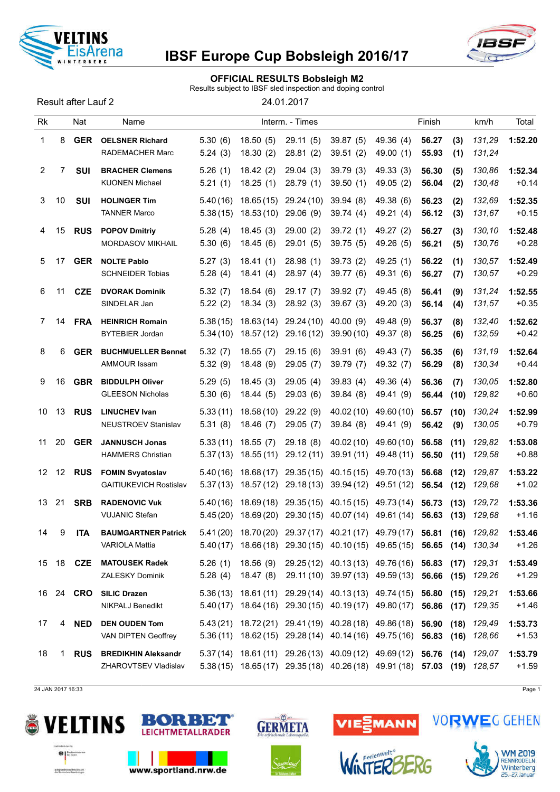

### OFFICIAL RESULTS Bobsleigh M2

Results subject to IBSF sled inspection and doping control

Result after Lauf 2 24.01.2017

| Rk             |                   | Nat              | Name                                                     |                      |                          | Interm. - Times         |                                                                                                                                             |                          | Finish         |              | km/h             | Total              |
|----------------|-------------------|------------------|----------------------------------------------------------|----------------------|--------------------------|-------------------------|---------------------------------------------------------------------------------------------------------------------------------------------|--------------------------|----------------|--------------|------------------|--------------------|
| 1              | 8                 | <b>GER</b>       | <b>OELSNER Richard</b><br>RADEMACHER Marc                | 5.30(6)<br>5.24(3)   | 18.50(5)<br>18.30(2)     | 29.11(5)<br>28.81(2)    | 39.87(5)<br>39.51(2)                                                                                                                        | 49.36 (4)<br>49.00 (1)   | 56.27<br>55.93 | (3)<br>(1)   | 131,29<br>131,24 | 1:52.20            |
| $\overline{2}$ | $\overline{7}$    | <b>SUI</b>       | <b>BRACHER Clemens</b><br><b>KUONEN Michael</b>          | 5.26(1)<br>5.21(1)   | 18.42(2)<br>18.25(1)     | 29.04(3)<br>28.79 (1)   | 39.79(3)<br>39.50(1)                                                                                                                        | 49.33 (3)<br>49.05 (2)   | 56.30<br>56.04 | (5)<br>(2)   | 130,86<br>130,48 | 1:52.34<br>$+0.14$ |
| 3              | 10                | <b>SUI</b>       | <b>HOLINGER Tim</b><br><b>TANNER Marco</b>               | 5.40(16)<br>5.38(15) | 18.65(15)<br>18.53(10)   | 29.24(10)<br>29.06(9)   | 39.94(8)<br>39.74(4)                                                                                                                        | 49.38 (6)<br>49.21 (4)   | 56.23<br>56.12 | (2)<br>(3)   | 132,69<br>131,67 | 1:52.35<br>$+0.15$ |
| 4              | 15                | <b>RUS</b>       | <b>POPOV Dmitriy</b><br>MORDASOV MIKHAIL                 | 5.28(4)<br>5.30(6)   | 18.45(3)<br>18.45(6)     | 29.00(2)<br>29.01(5)    | 39.72(1)<br>39.75(5)                                                                                                                        | 49.27 (2)<br>49.26 (5)   | 56.27<br>56.21 | (3)<br>(5)   | 130,10<br>130,76 | 1:52.48<br>$+0.28$ |
| 5              | 17                | <b>GER</b>       | <b>NOLTE Pablo</b><br><b>SCHNEIDER Tobias</b>            | 5.27(3)<br>5.28(4)   | 18.41(1)<br>18.41(4)     | 28.98(1)<br>28.97(4)    | 39.73(2)<br>39.77 (6)                                                                                                                       | 49.25(1)<br>49.31 (6)    | 56.22<br>56.27 | (1)<br>(7)   | 130,57<br>130,57 | 1:52.49<br>$+0.29$ |
| 6              | 11                | <b>CZE</b>       | <b>DVORAK Dominik</b><br>SINDELAR Jan                    | 5.32(7)<br>5.22(2)   | 18.54(6)<br>18.34(3)     | 29.17(7)<br>28.92 (3)   | 39.92(7)<br>39.67(3)                                                                                                                        | 49.45 (8)<br>49.20 (3)   | 56.41<br>56.14 | (9)<br>(4)   | 131,24<br>131,57 | 1:52.55<br>$+0.35$ |
| 7              | 14                | <b>FRA</b>       | <b>HEINRICH Romain</b><br><b>BYTEBIER Jordan</b>         | 5.38(15)<br>5.34(10) | 18.63(14)<br>18.57(12)   | 29.24 (10)<br>29.16(12) | 40.00(9)<br>39.90(10)                                                                                                                       | 49.48 (9)<br>49.37 (8)   | 56.37<br>56.25 | (8)<br>(6)   | 132,40<br>132,59 | 1:52.62<br>$+0.42$ |
| 8              | 6                 | <b>GER</b>       | <b>BUCHMUELLER Bennet</b><br>AMMOUR Issam                | 5.32(7)<br>5.32(9)   | 18.55(7)<br>18.48 (9)    | 29.15(6)<br>29.05(7)    | 39.91(6)<br>39.79 (7)                                                                                                                       | 49.43 (7)<br>49.32 (7)   | 56.35<br>56.29 | (6)<br>(8)   | 131,19<br>130,34 | 1:52.64<br>$+0.44$ |
| 9              | 16                | <b>GBR</b>       | <b>BIDDULPH Oliver</b><br><b>GLEESON Nicholas</b>        | 5.29(5)<br>5.30(6)   | 18.45(3)<br>18.44(5)     | 29.05(4)<br>29.03(6)    | 39.83(4)<br>39.84(8)                                                                                                                        | 49.36 (4)<br>49.41 (9)   | 56.36<br>56.44 | (7)<br>(10)  | 130,05<br>129,82 | 1:52.80<br>$+0.60$ |
| 10             | 13                | <b>RUS</b>       | <b>LINUCHEV Ivan</b><br>NEUSTROEV Stanislav              | 5.33(11)<br>5.31(8)  | 18.58(10)<br>18.46(7)    | 29.22(9)<br>29.05(7)    | 40.02 (10)<br>39.84(8)                                                                                                                      | 49.60 (10)<br>49.41 (9)  | 56.57<br>56.42 | (10)<br>(9)  | 130,24<br>130,05 | 1:52.99<br>$+0.79$ |
| 11             | 20                | <b>GER</b>       | <b>JANNUSCH Jonas</b><br><b>HAMMERS Christian</b>        | 5.33(11)<br>5.37(13) | 18.55(7)<br>18.55(11)    | 29.18(8)<br>29.12(11)   | 40.02 (10)<br>39.91(11)                                                                                                                     | 49.60 (10)<br>49.48 (11) | 56.58<br>56.50 | (11)<br>(11) | 129,82<br>129,58 | 1:53.08<br>$+0.88$ |
| 12             | $12 \overline{ }$ | <b>RUS</b>       | <b>FOMIN Svyatoslav</b><br><b>GAITIUKEVICH Rostislav</b> | 5.40(16)<br>5.37(13) | 18.68 (17)<br>18.57 (12) | 29.18(13)               | 29.35 (15) 40.15 (15)<br>39.94 (12)                                                                                                         | 49.70 (13)<br>49.51 (12) | 56.68<br>56.54 | (12)<br>(12) | 129,87<br>129,68 | 1:53.22<br>$+1.02$ |
| 13             | 21                | <b>SRB</b>       | <b>RADENOVIC Vuk</b><br><b>VUJANIC Stefan</b>            | 5.40(16)<br>5.45(20) | 18.69(18)                | 29.35 (15)              | 40.15 (15)<br>18.69 (20) 29.30 (15) 40.07 (14)                                                                                              | 49.73 (14)<br>49.61 (14) | 56.73<br>56.63 | (13)<br>(13) | 129,72<br>129,68 | 1:53.36<br>$+1.16$ |
| 14             | 9                 | <b>ITA</b>       | <b>BAUMGARTNER Patrick</b><br><b>VARIOLA Mattia</b>      | 5.41(20)             |                          |                         | 18.70 (20) 29.37 (17) 40.21 (17) 49.79 (17) 56.81<br>5.40(17) 18.66(18) 29.30(15) 40.10(15) 49.65(15) 56.65 (14) 130,34                     |                          |                | (16)         | 129,82           | 1:53.46<br>+1.26   |
|                |                   | 15 18 <b>CZE</b> | <b>MATOUSEK Radek</b><br><b>ZALESKY Dominik</b>          | 5.26(1)<br>5.28(4)   | 18.47 (8)                |                         | 18.56 (9) 29.25 (12) 40.13 (13) 49.76 (16) 56.83 (17) 129,31<br>29.11 (10) 39.97 (13) 49.59 (13) 56.66 (15) 129,26                          |                          |                |              |                  | 1:53.49<br>$+1.29$ |
| 16             |                   | 24 CRO           | <b>SILIC Drazen</b><br><b>NIKPALJ Benedikt</b>           |                      |                          |                         | $5.36(13)$ 18.61(11) 29.29(14) 40.13(13) 49.74(15) 56.80<br>5.40 (17) 18.64 (16) 29.30 (15) 40.19 (17) 49.80 (17) 56.86 (17)                |                          |                | (15)         | 129.21<br>129,35 | 1:53.66<br>$+1.46$ |
| 17             | 4                 | <b>NED</b>       | <b>DEN OUDEN Tom</b><br>VAN DIPTEN Geoffrey              |                      |                          |                         | 5.43 (21) 18.72 (21) 29.41 (19) 40.28 (18) 49.86 (18) 56.90<br>5.36 (11) 18.62 (15) 29.28 (14) 40.14 (16) 49.75 (16) 56.83 (16) 128,66      |                          |                |              | $(18)$ $129,49$  | 1:53.73<br>$+1.53$ |
| 18             | 1                 | <b>RUS</b>       | <b>BREDIKHIN Aleksandr</b><br>ZHAROVTSEV Vladislav       |                      |                          |                         | 5.37 (14) 18.61 (11) 29.26 (13) 40.09 (12) 49.69 (12) 56.76 (14)<br>5.38 (15) 18.65 (17) 29.35 (18) 40.26 (18) 49.91 (18) 57.03 (19) 128,57 |                          |                |              | 129,07           | 1:53.79<br>$+1.59$ |
|                |                   |                  |                                                          |                      |                          |                         |                                                                                                                                             |                          |                |              |                  |                    |

24 JAN 2017 16:33 Page 1





www.sportland.nrw.de



 $\omega$ 



VIESMANN





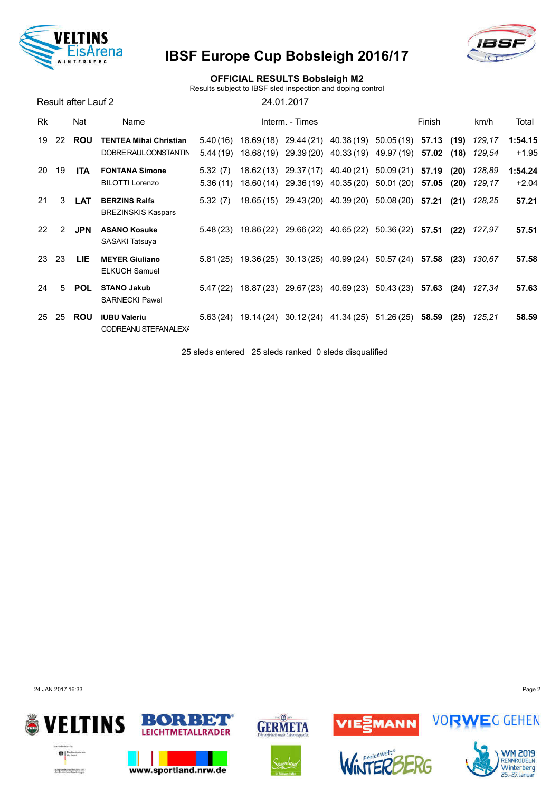

### OFFICIAL RESULTS Bobsleigh M2

Results subject to IBSF sled inspection and doping control

Result after Lauf 2 24.01.2017

| <b>Rk</b> |    | Nat        | Name                                                   |                      |            | Interm. - Times                                                                       |                        |                          | Finish         |              | km/h                    | Total              |
|-----------|----|------------|--------------------------------------------------------|----------------------|------------|---------------------------------------------------------------------------------------|------------------------|--------------------------|----------------|--------------|-------------------------|--------------------|
| 19        | 22 | <b>ROU</b> | <b>TENTEA Mihai Christian</b><br>DOBRE RAUL CONSTANTIN | 5.40(16)<br>5.44(19) |            | 18.69 (18) 29.44 (21) 40.38 (19)<br>18.68 (19) 29.39 (20) 40.33 (19) 49.97 (19) 57.02 |                        | 50.05 (19)               | 57.13          | (18)         | $(19)$ 129,17<br>129,54 | 1:54.15<br>$+1.95$ |
| 20        | 19 | <b>ITA</b> | <b>FONTANA Simone</b><br><b>BILOTTI Lorenzo</b>        | 5.32(7)<br>5.36(11)  |            | 18.62 (13) 29.37 (17) 40.40 (21)<br>18.60 (14) 29.36 (19) 40.35 (20)                  |                        | 50.09 (21)<br>50.01 (20) | 57.19<br>57.05 | (20)<br>(20) | 128,89<br>129.17        | 1:54.24<br>$+2.04$ |
| 21        | 3  | <b>LAT</b> | <b>BERZINS Ralfs</b><br><b>BREZINSKIS Kaspars</b>      | 5.32(7)              |            | 18.65 (15) 29.43 (20) 40.39 (20)                                                      |                        | $50.08(20)$ 57.21        |                | (21)         | 128,25                  | 57.21              |
| 22        | 2  | <b>JPN</b> | <b>ASANO Kosuke</b><br>SASAKI Tatsuya                  | 5.48(23)             | 18.86 (22) |                                                                                       | 29.66 (22) 40.65 (22)  | 50.36 (22)               | 57.51          | (22)         | 127,97                  | 57.51              |
| 23        | 23 | LIE.       | <b>MEYER Giuliano</b><br><b>ELKUCH Samuel</b>          | 5.81(25)             | 19.36 (25) |                                                                                       | $30.13(25)$ 40.99 (24) | 50.57 (24)               | 57.58          | (23)         | 130.67                  | 57.58              |
| 24        | 5  | <b>POL</b> | <b>STANO Jakub</b><br><b>SARNECKI Pawel</b>            | 5.47(22)             | 18.87 (23) |                                                                                       | 29.67 (23) 40.69 (23)  | 50.43 (23)               | 57.63          | (24)         | 127,34                  | 57.63              |
| 25        | 25 | <b>ROU</b> | <b>IUBU Valeriu</b><br>CODREANU STEFANALEXA            | 5.63(24)             | 19.14 (24) |                                                                                       | $30.12(24)$ 41.34 (25) | 51.26 (25)               | 58.59          | (25)         | 125,21                  | 58.59              |

25 sleds entered 25 sleds ranked 0 sleds disqualified

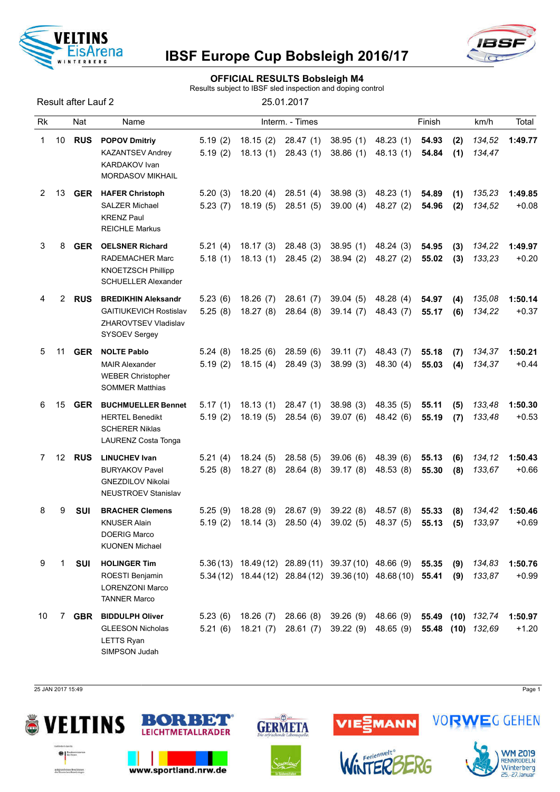

#### OFFICIAL RESULTS Bobsleigh M4

Results subject to IBSF sled inspection and doping control

Result after Lauf 2 25.01.2017

| Rk |    | Nat        | Name                                                                                                        |                    |                      | Interm. - Times       |                                                                                                                     |                        | Finish         |            | km/h                                   | Total              |
|----|----|------------|-------------------------------------------------------------------------------------------------------------|--------------------|----------------------|-----------------------|---------------------------------------------------------------------------------------------------------------------|------------------------|----------------|------------|----------------------------------------|--------------------|
| 1  | 10 | <b>RUS</b> | <b>POPOV Dmitriy</b><br><b>KAZANTSEV Andrey</b><br><b>KARDAKOV</b> Ivan<br><b>MORDASOV MIKHAIL</b>          | 5.19(2)<br>5.19(2) | 18.15(2)<br>18.13(1) | 28.47(1)<br>28.43(1)  | 38.95(1)<br>38.86(1)                                                                                                | 48.23(1)<br>48.13(1)   | 54.93<br>54.84 | (2)<br>(1) | 134,52<br>134,47                       | 1:49.77            |
| 2  | 13 | <b>GER</b> | <b>HAFER Christoph</b><br><b>SALZER Michael</b><br><b>KRENZ Paul</b><br><b>REICHLE Markus</b>               | 5.20(3)<br>5.23(7) | 18.20(4)<br>18.19(5) | 28.51(4)<br>28.51(5)  | 38.98(3)<br>39.00(4)                                                                                                | 48.23 (1)<br>48.27 (2) | 54.89<br>54.96 | (1)<br>(2) | 135,23<br>134,52                       | 1:49.85<br>$+0.08$ |
| 3  | 8  | <b>GER</b> | <b>OELSNER Richard</b><br><b>RADEMACHER Marc</b><br><b>KNOETZSCH Phillipp</b><br><b>SCHUELLER Alexander</b> | 5.21(4)<br>5.18(1) | 18.17(3)<br>18.13(1) | 28.48 (3)<br>28.45(2) | 38.95(1)<br>38.94(2)                                                                                                | 48.24 (3)<br>48.27 (2) | 54.95<br>55.02 | (3)<br>(3) | 134,22<br>133,23                       | 1:49.97<br>$+0.20$ |
| 4  | 2  | <b>RUS</b> | <b>BREDIKHIN Aleksandr</b><br><b>GAITIUKEVICH Rostislav</b><br>ZHAROVTSEV Vladislav<br>SYSOEV Sergey        | 5.23(6)<br>5.25(8) | 18.26(7)<br>18.27(8) | 28.61(7)<br>28.64(8)  | 39.04(5)<br>39.14(7)                                                                                                | 48.28 (4)<br>48.43 (7) | 54.97<br>55.17 | (4)<br>(6) | 135,08<br>134,22                       | 1:50.14<br>$+0.37$ |
| 5  | 11 | <b>GER</b> | <b>NOLTE Pablo</b><br><b>MAIR Alexander</b><br><b>WEBER Christopher</b><br><b>SOMMER Matthias</b>           | 5.24(8)<br>5.19(2) | 18.25(6)<br>18.15(4) | 28.59(6)<br>28.49(3)  | 39.11(7)<br>38.99(3)                                                                                                | 48.43 (7)<br>48.30 (4) | 55.18<br>55.03 | (7)<br>(4) | 134,37<br>134,37                       | 1:50.21<br>$+0.44$ |
| 6  | 15 | <b>GER</b> | <b>BUCHMUELLER Bennet</b><br><b>HERTEL Benedikt</b><br><b>SCHERER Niklas</b><br><b>LAURENZ Costa Tonga</b>  | 5.17(1)<br>5.19(2) | 18.13(1)<br>18.19(5) | 28.47(1)<br>28.54(6)  | 38.98(3)<br>39.07(6)                                                                                                | 48.35 (5)<br>48.42 (6) | 55.11<br>55.19 | (5)<br>(7) | 133,48<br>133,48                       | 1:50.30<br>$+0.53$ |
| 7  | 12 | <b>RUS</b> | <b>LINUCHEV Ivan</b><br><b>BURYAKOV Pavel</b><br><b>GNEZDILOV Nikolai</b><br><b>NEUSTROEV Stanislav</b>     | 5.21(4)<br>5.25(8) | 18.24(5)<br>18.27(8) | 28.58(5)<br>28.64(8)  | 39.06(6)<br>39.17(8)                                                                                                | 48.39 (6)<br>48.53 (8) | 55.13<br>55.30 | (6)<br>(8) | 134,12<br>133,67                       | 1:50.43<br>$+0.66$ |
| 8  | 9  | SUI        | <b>BRACHER Clemens</b><br><b>KNUSER Alain</b><br><b>DOERIG Marco</b><br><b>KUONEN Michael</b>               | 5.25(9)<br>5.19(2) | 18.28(9)<br>18.14(3) | 28.67(9)<br>28.50(4)  | 39.22(8)<br>39.02(5)                                                                                                | 48.57 (8)<br>48.37 (5) | 55.33<br>55.13 | (8)<br>(5) | 134,42<br>133,97                       | 1:50.46<br>$+0.69$ |
| 9  | 1  | SUI        | <b>HOLINGER Tim</b><br>ROESTI Benjamin<br><b>LORENZONI Marco</b><br><b>TANNER Marco</b>                     |                    |                      |                       | 5.36 (13) 18.49 (12) 28.89 (11) 39.37 (10) 48.66 (9)<br>5.34 (12) 18.44 (12) 28.84 (12) 39.36 (10) 48.68 (10) 55.41 |                        | 55.35          | (9)<br>(9) | 134,83<br>133,87                       | 1:50.76<br>$+0.99$ |
| 10 | 7  | <b>GBR</b> | <b>BIDDULPH Oliver</b><br><b>GLEESON Nicholas</b><br>LETTS Ryan<br>SIMPSON Judah                            | 5.23(6)<br>5.21(6) | 18.26(7)<br>18.21(7) | 28.66 (8)<br>28.61(7) | 39.26 (9) 48.66 (9)                                                                                                 | 39.22 (9) 48.65 (9)    |                |            | 55.49 (10) 132,74<br>55.48 (10) 132,69 | 1:50.97<br>$+1.20$ |

25 JAN 2017 15:49 Page 1





www.sportland.nrw.de



 $\omega$ 



INTER



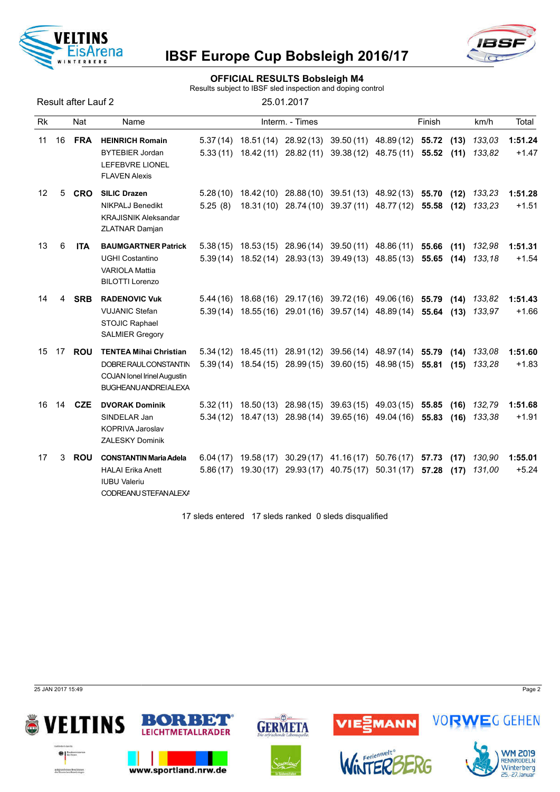



#### OFFICIAL RESULTS Bobsleigh M4

Results subject to IBSF sled inspection and doping control

Result after Lauf 2

| 25.01.2017 |  |  |  |
|------------|--|--|--|
|            |  |  |  |

| <b>Rk</b> |    | Nat        | Name                                                                                                                         |                     | Interm. - Times |                                                                                                                                                    | Finish |              | km/h             | Total              |
|-----------|----|------------|------------------------------------------------------------------------------------------------------------------------------|---------------------|-----------------|----------------------------------------------------------------------------------------------------------------------------------------------------|--------|--------------|------------------|--------------------|
| 11        | 16 | <b>FRA</b> | <b>HEINRICH Romain</b><br><b>BYTEBIER Jordan</b><br><b>LEFEBVRE LIONEL</b><br><b>FLAVEN Alexis</b>                           |                     |                 | 5.37(14) 18.51(14) 28.92(13) 39.50(11) 48.89(12) 55.72<br>$5.33(11)$ $18.42(11)$ $28.82(11)$ $39.38(12)$ $48.75(11)$ <b>55.52</b>                  |        | (13)<br>(11) | 133,03<br>133.82 | 1:51.24<br>$+1.47$ |
| 12        | 5  | <b>CRO</b> | <b>SILIC Drazen</b><br><b>NIKPALJ Benedikt</b><br><b>KRAJISNIK Aleksandar</b><br>ZLATNAR Damjan                              | 5.28(10)<br>5.25(8) |                 | 18.42 (10) 28.88 (10) 39.51 (13) 48.92 (13) 55.70<br>18.31 (10) 28.74 (10) 39.37 (11) 48.77 (12) 55.58                                             |        | (12)<br>(12) | 133,23<br>133,23 | 1:51.28<br>$+1.51$ |
| 13        | 6  | <b>ITA</b> | <b>BAUMGARTNER Patrick</b><br><b>UGHI Costantino</b><br><b>VARIOLA Mattia</b><br><b>BILOTTI Lorenzo</b>                      |                     |                 | $5.38(15)$ $18.53(15)$ $28.96(14)$ $39.50(11)$ $48.86(11)$ <b>55.66</b><br>$5.39(14)$ $18.52(14)$ $28.93(13)$ $39.49(13)$ $48.85(13)$ <b>55.65</b> |        | (11)<br>(14) | 132,98<br>133.18 | 1:51.31<br>$+1.54$ |
| 14        | 4  | <b>SRB</b> | <b>RADENOVIC Vuk</b><br><b>VUJANIC Stefan</b><br><b>STOJIC Raphael</b><br><b>SALMIER Gregory</b>                             | 5.39(14)            |                 | 5.44 (16) 18.68 (16) 29.17 (16) 39.72 (16) 49.06 (16) 55.79<br>18.55 (16) 29.01 (16) 39.57 (14) 48.89 (14) 55.64                                   |        | (14)<br>(13) | 133,82<br>133.97 | 1:51.43<br>$+1.66$ |
| 15        | 17 | <b>ROU</b> | <b>TENTEA Mihai Christian</b><br>DOBRE RAUL CONSTANTIN<br><b>COJAN lonel Irinel Augustin</b><br><b>BUGHEANU ANDREI ALEXA</b> |                     |                 | 5.34 (12) 18.45 (11) 28.91 (12) 39.56 (14) 48.97 (14) 55.79<br>5.39 (14) 18.54 (15) 28.99 (15) 39.60 (15) 48.98 (15) 55.81                         |        | (14)<br>(15) | 133,08<br>133.28 | 1:51.60<br>$+1.83$ |
| 16        | 14 | <b>CZE</b> | <b>DVORAK Dominik</b><br>SINDELAR Jan<br><b>KOPRIVA Jaroslav</b><br><b>ZALESKY Dominik</b>                                   | 5.32(11)            |                 | 18.50 (13) 28.98 (15) 39.63 (15) 49.03 (15)<br>$5.34(12)$ $18.47(13)$ $28.98(14)$ $39.65(16)$ $49.04(16)$ <b>55.83</b>                             | 55.85  | (16)<br>(16) | 132,79<br>133,38 | 1:51.68<br>$+1.91$ |
| 17        | 3  | <b>ROU</b> | <b>CONSTANTIN Maria Adela</b><br><b>HALAI Erika Anett</b><br><b>IUBU Valeriu</b><br>CODREANU STEFANALEXA                     |                     |                 | $6.04(17)$ 19.58(17) 30.29(17) 41.16(17) 50.76(17) 57.73<br>$5.86(17)$ $19.30(17)$ $29.93(17)$ $40.75(17)$ $50.31(17)$ <b>57.28</b>                |        | (17)<br>(17) | 130,90<br>131,00 | 1:55.01<br>$+5.24$ |

17 sleds entered 17 sleds ranked 0 sleds disqualified

25 JAN 2017 15:49 Page 2









**VORWEG GEHEN**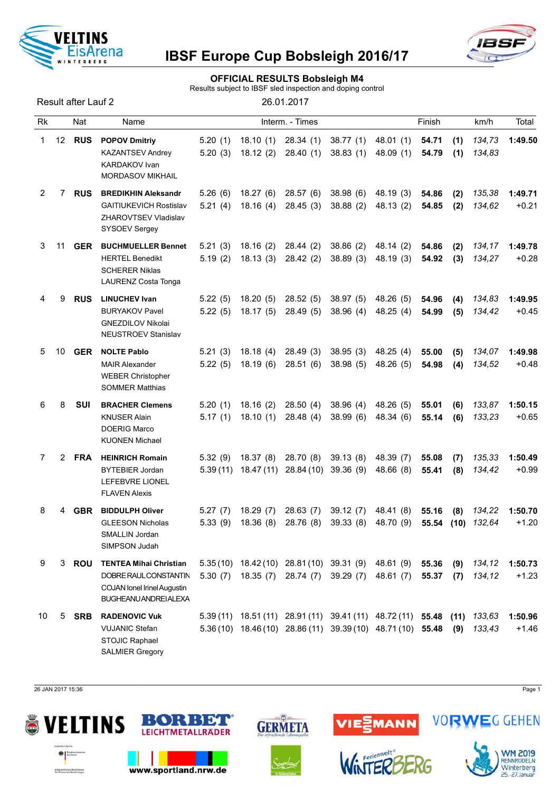

#### OFFICIAL RESULTS Bobsleigh M4

Results subject to IBSF sled inspection and doping control

Result after Lauf 2 26.01.2017

| Rk             |    | Nat        | Name                                                                                                                         |                     |                        | Interm. - Times                                            |                                                                                                                            |                        | Finish              |             | km/h             | Total              |
|----------------|----|------------|------------------------------------------------------------------------------------------------------------------------------|---------------------|------------------------|------------------------------------------------------------|----------------------------------------------------------------------------------------------------------------------------|------------------------|---------------------|-------------|------------------|--------------------|
| 1              | 12 | <b>RUS</b> | <b>POPOV Dmitriy</b><br><b>KAZANTSEV Andrey</b><br><b>KARDAKOV Ivan</b><br><b>MORDASOV MIKHAIL</b>                           | 5.20(1)<br>5.20(3)  | 18.10(1)<br>18.12(2)   | 28.34 (1)<br>28.40(1)                                      | 38.77(1)<br>38.83(1)                                                                                                       | 48.01 (1)<br>48.09 (1) | 54.71<br>54.79      | (1)<br>(1)  | 134,73<br>134,83 | 1:49.50            |
| $\overline{2}$ | 7  | <b>RUS</b> | <b>BREDIKHIN Aleksandr</b><br><b>GAITIUKEVICH Rostislav</b><br>ZHAROVTSEV Vladislav<br>SYSOEV Sergey                         | 5.26(6)<br>5.21(4)  | 18.27(6)<br>18.16(4)   | 28.57 (6)<br>28.45(3)                                      | 38.98(6)<br>38.88(2)                                                                                                       | 48.19 (3)<br>48.13 (2) | 54.86<br>54.85      | (2)<br>(2)  | 135,38<br>134,62 | 1:49.71<br>$+0.21$ |
| 3              | 11 | <b>GER</b> | <b>BUCHMUELLER Bennet</b><br><b>HERTEL Benedikt</b><br><b>SCHERER Niklas</b><br>LAURENZ Costa Tonga                          | 5.21(3)<br>5.19(2)  | 18.16(2)<br>18.13(3)   | 28.44(2)<br>28.42(2)                                       | 38.86(2)<br>38.89(3)                                                                                                       | 48.14 (2)<br>48.19 (3) | 54.86<br>54.92      | (2)<br>(3)  | 134,17<br>134,27 | 1:49.78<br>$+0.28$ |
| 4              | 9  | <b>RUS</b> | <b>LINUCHEV Ivan</b><br><b>BURYAKOV Pavel</b><br><b>GNEZDILOV Nikolai</b><br><b>NEUSTROEV Stanislav</b>                      | 5.22(5)<br>5.22(5)  | 18.20(5)<br>18.17(5)   | 28.52 (5)<br>28.49(5)                                      | 38.97(5)<br>38.96(4)                                                                                                       | 48.26 (5)<br>48.25(4)  | 54.96<br>54.99      | (4)<br>(5)  | 134,83<br>134,42 | 1:49.95<br>$+0.45$ |
| 5              | 10 | <b>GER</b> | <b>NOLTE Pablo</b><br><b>MAIR Alexander</b><br><b>WEBER Christopher</b><br><b>SOMMER Matthias</b>                            | 5.21(3)<br>5.22(5)  | 18.18(4)<br>18.19(6)   | 28.49 (3)<br>28.51(6)                                      | 38.95(3)<br>38.98(5)                                                                                                       | 48.25 (4)<br>48.26 (5) | 55.00<br>54.98      | (5)<br>(4)  | 134,07<br>134,52 | 1:49.98<br>$+0.48$ |
| 6              | 8  | SUI        | <b>BRACHER Clemens</b><br><b>KNUSER Alain</b><br><b>DOERIG Marco</b><br><b>KUONEN Michael</b>                                | 5.20(1)<br>5.17(1)  | 18.16(2)<br>18.10(1)   | 28.50(4)<br>28.48(4)                                       | 38.96(4)<br>38.99(6)                                                                                                       | 48.26 (5)<br>48.34 (6) | 55.01<br>55.14      | (6)<br>(6)  | 133,87<br>133,23 | 1:50.15<br>$+0.65$ |
| 7              | 2  | <b>FRA</b> | <b>HEINRICH Romain</b><br><b>BYTEBIER Jordan</b><br>LEFEBVRE LIONEL<br><b>FLAVEN Alexis</b>                                  | 5.32(9)<br>5.39(11) | 18.37(8)<br>18.47 (11) | 28.70 (8)<br>28.84 (10)                                    | 39.13(8)<br>39.36(9)                                                                                                       | 48.39 (7)<br>48.66 (8) | 55.08<br>55.41      | (7)<br>(8)  | 135,33<br>134,42 | 1:50.49<br>$+0.99$ |
| 8              | 4  | <b>GBR</b> | <b>BIDDULPH Oliver</b><br><b>GLEESON Nicholas</b><br>SMALLIN Jordan<br>SIMPSON Judah                                         | 5.27(7)<br>5.33(9)  | 18.29(7)<br>18.36(8)   | 28.63(7)<br>28.76 (8)                                      | 39.12(7)<br>39.33(8)                                                                                                       | 48.41 (8)<br>48.70 (9) | 55.16<br>55.54 (10) | (8)         | 134,22<br>132,64 | 1:50.70<br>$+1.20$ |
| 9              | 3  | ROU        | <b>TENTEA Mihai Christian</b><br>DOBRE RAUL CONSTANTIN<br><b>COJAN lonel Irinel Augustin</b><br><b>BUGHEANU ANDREI ALEXA</b> | 5.30(7)             | 18.35(7)               | $5.35(10)$ $18.42(10)$ $28.81(10)$ $39.31(9)$<br>28.74 (7) | 39.29(7)                                                                                                                   | 48.61 (9)<br>48.61 (7) | 55.36<br>55.37      | (9)<br>(7)  | 134,12<br>134,12 | 1:50.73<br>$+1.23$ |
| 10             | 5  | <b>SRB</b> | <b>RADENOVIC Vuk</b><br><b>VUJANIC Stefan</b><br>STOJIC Raphael<br><b>SALMIER Gregory</b>                                    |                     |                        |                                                            | 5.39 (11) 18.51 (11) 28.91 (11) 39.41 (11) 48.72 (11) 55.48<br>5.36 (10) 18.46 (10) 28.86 (11) 39.39 (10) 48.71 (10) 55.48 |                        |                     | (11)<br>(9) | 133,63<br>133,43 | 1:50.96<br>$+1.46$ |

26 JAN 2017 15:36 Page 1





www.sportland.nrw.de



 $\omega$ 





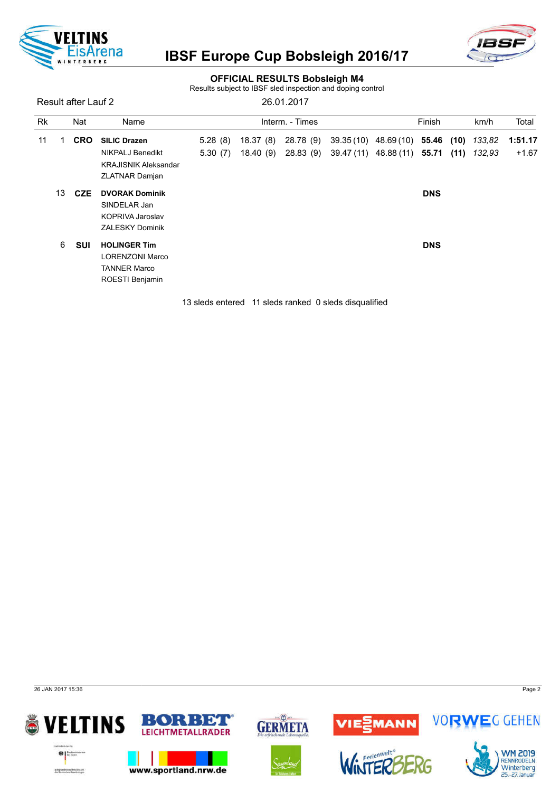



#### OFFICIAL RESULTS Bobsleigh M4

Results subject to IBSF sled inspection and doping control

Result after Lauf 2 26.01.2017

| <b>Rk</b> |            | Nat                 | Name                        |          |           | Interm. - Times       |                             | Finish     |        | km/h    | Total   |
|-----------|------------|---------------------|-----------------------------|----------|-----------|-----------------------|-----------------------------|------------|--------|---------|---------|
| 11        | <b>CRO</b> | <b>SILIC Drazen</b> | 5.28(8)                     | 18.37(8) | 28.78 (9) | $39.35(10)$ 48.69(10) | 55.46 (10)                  |            | 133,82 | 1:51.17 |         |
|           |            |                     | NIKPALJ Benedikt            | 5.30(7)  | 18.40 (9) | 28.83 (9)             | 39.47 (11) 48.88 (11) 55.71 |            | (11)   | 132,93  | $+1.67$ |
|           |            |                     | <b>KRAJISNIK Aleksandar</b> |          |           |                       |                             |            |        |         |         |
|           |            |                     | <b>ZLATNAR Damjan</b>       |          |           |                       |                             |            |        |         |         |
|           | 13         | <b>CZE</b>          | <b>DVORAK Dominik</b>       |          |           |                       |                             | <b>DNS</b> |        |         |         |
|           |            |                     | SINDELAR Jan                |          |           |                       |                             |            |        |         |         |
|           |            |                     | KOPRIVA Jaroslav            |          |           |                       |                             |            |        |         |         |
|           |            |                     | <b>ZALESKY Dominik</b>      |          |           |                       |                             |            |        |         |         |
|           | 6          | <b>SUI</b>          | <b>HOLINGER Tim</b>         |          |           |                       |                             | <b>DNS</b> |        |         |         |
|           |            |                     | <b>LORENZONI Marco</b>      |          |           |                       |                             |            |        |         |         |
|           |            |                     | <b>TANNER Marco</b>         |          |           |                       |                             |            |        |         |         |
|           |            |                     | ROESTI Benjamin             |          |           |                       |                             |            |        |         |         |